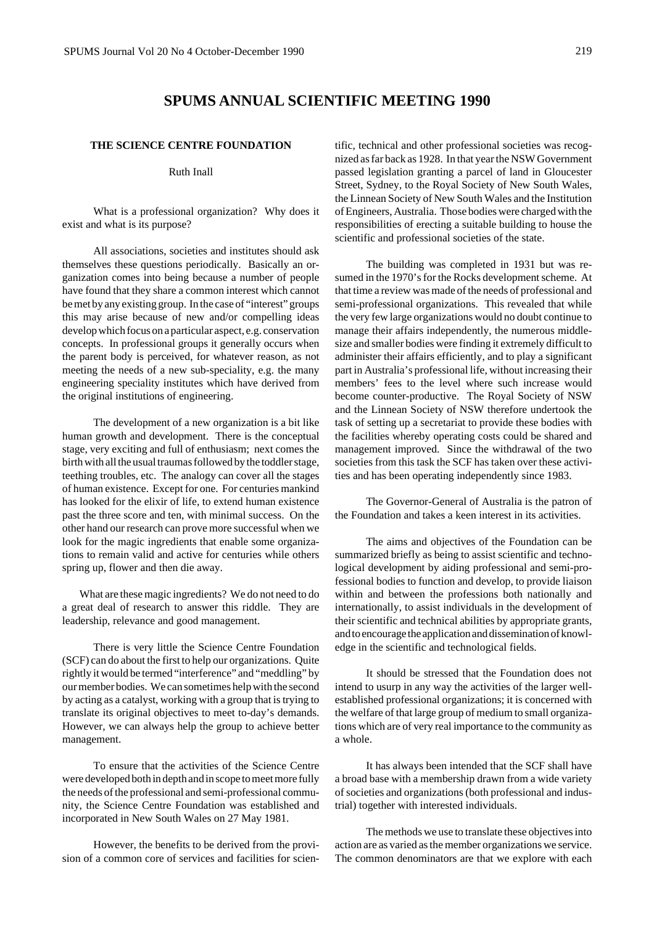# **SPUMS ANNUAL SCIENTIFIC MEETING 1990**

## **THE SCIENCE CENTRE FOUNDATION**

#### Ruth Inall

What is a professional organization? Why does it exist and what is its purpose?

All associations, societies and institutes should ask themselves these questions periodically. Basically an organization comes into being because a number of people have found that they share a common interest which cannot be met by any existing group. In the case of "interest" groups this may arise because of new and/or compelling ideas develop which focus on a particular aspect, e.g. conservation concepts. In professional groups it generally occurs when the parent body is perceived, for whatever reason, as not meeting the needs of a new sub-speciality, e.g. the many engineering speciality institutes which have derived from the original institutions of engineering.

The development of a new organization is a bit like human growth and development. There is the conceptual stage, very exciting and full of enthusiasm; next comes the birth with all the usual traumas followed by the toddler stage, teething troubles, etc. The analogy can cover all the stages of human existence. Except for one. For centuries mankind has looked for the elixir of life, to extend human existence past the three score and ten, with minimal success. On the other hand our research can prove more successful when we look for the magic ingredients that enable some organizations to remain valid and active for centuries while others spring up, flower and then die away.

What are these magic ingredients? We do not need to do a great deal of research to answer this riddle. They are leadership, relevance and good management.

There is very little the Science Centre Foundation (SCF) can do about the first to help our organizations. Quite rightly it would be termed "interference" and "meddling" by our member bodies. We can sometimes help with the second by acting as a catalyst, working with a group that is trying to translate its original objectives to meet to-day's demands. However, we can always help the group to achieve better management.

To ensure that the activities of the Science Centre were developed both in depth and in scope to meet more fully the needs of the professional and semi-professional community, the Science Centre Foundation was established and incorporated in New South Wales on 27 May 1981.

However, the benefits to be derived from the provision of a common core of services and facilities for scientific, technical and other professional societies was recognized as far back as 1928. In that year the NSW Government passed legislation granting a parcel of land in Gloucester Street, Sydney, to the Royal Society of New South Wales, the Linnean Society of New South Wales and the Institution of Engineers, Australia. Those bodies were charged with the responsibilities of erecting a suitable building to house the scientific and professional societies of the state.

The building was completed in 1931 but was resumed in the 1970's for the Rocks development scheme. At that time a review was made of the needs of professional and semi-professional organizations. This revealed that while the very few large organizations would no doubt continue to manage their affairs independently, the numerous middlesize and smaller bodies were finding it extremely difficult to administer their affairs efficiently, and to play a significant part in Australia's professional life, without increasing their members' fees to the level where such increase would become counter-productive. The Royal Society of NSW and the Linnean Society of NSW therefore undertook the task of setting up a secretariat to provide these bodies with the facilities whereby operating costs could be shared and management improved. Since the withdrawal of the two societies from this task the SCF has taken over these activities and has been operating independently since 1983.

The Governor-General of Australia is the patron of the Foundation and takes a keen interest in its activities.

The aims and objectives of the Foundation can be summarized briefly as being to assist scientific and technological development by aiding professional and semi-professional bodies to function and develop, to provide liaison within and between the professions both nationally and internationally, to assist individuals in the development of their scientific and technical abilities by appropriate grants, and to encourage the application and dissemination of knowledge in the scientific and technological fields.

It should be stressed that the Foundation does not intend to usurp in any way the activities of the larger wellestablished professional organizations; it is concerned with the welfare of that large group of medium to small organizations which are of very real importance to the community as a whole.

It has always been intended that the SCF shall have a broad base with a membership drawn from a wide variety of societies and organizations (both professional and industrial) together with interested individuals.

The methods we use to translate these objectives into action are as varied as the member organizations we service. The common denominators are that we explore with each